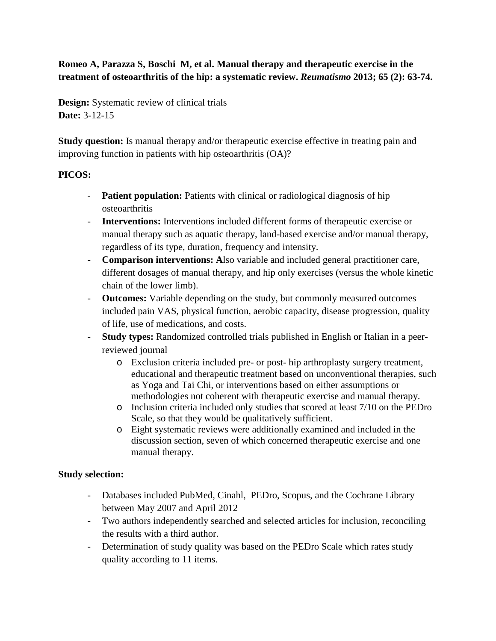# **Romeo A, Parazza S, Boschi M, et al. Manual therapy and therapeutic exercise in the treatment of osteoarthritis of the hip: a systematic review.** *Reumatismo* **2013; 65 (2): 63-74.**

**Design:** Systematic review of clinical trials **Date:** 3-12-15

**Study question:** Is manual therapy and/or therapeutic exercise effective in treating pain and improving function in patients with hip osteoarthritis (OA)?

## **PICOS:**

- **Patient population:** Patients with clinical or radiological diagnosis of hip osteoarthritis
- **Interventions:** Interventions included different forms of therapeutic exercise or manual therapy such as aquatic therapy, land-based exercise and/or manual therapy, regardless of its type, duration, frequency and intensity.
- **Comparison interventions: A**lso variable and included general practitioner care, different dosages of manual therapy, and hip only exercises (versus the whole kinetic chain of the lower limb).
- **Outcomes:** Variable depending on the study, but commonly measured outcomes included pain VAS, physical function, aerobic capacity, disease progression, quality of life, use of medications, and costs.
- **Study types:** Randomized controlled trials published in English or Italian in a peerreviewed journal
	- o Exclusion criteria included pre- or post- hip arthroplasty surgery treatment, educational and therapeutic treatment based on unconventional therapies, such as Yoga and Tai Chi, or interventions based on either assumptions or methodologies not coherent with therapeutic exercise and manual therapy.
	- o Inclusion criteria included only studies that scored at least 7/10 on the PEDro Scale, so that they would be qualitatively sufficient.
	- o Eight systematic reviews were additionally examined and included in the discussion section, seven of which concerned therapeutic exercise and one manual therapy.

## **Study selection:**

- Databases included PubMed, Cinahl, PEDro, Scopus, and the Cochrane Library between May 2007 and April 2012
- Two authors independently searched and selected articles for inclusion, reconciling the results with a third author.
- Determination of study quality was based on the PEDro Scale which rates study quality according to 11 items.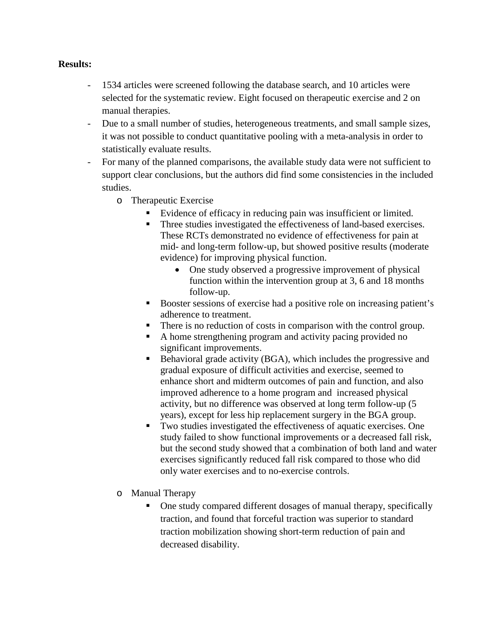### **Results:**

- 1534 articles were screened following the database search, and 10 articles were selected for the systematic review. Eight focused on therapeutic exercise and 2 on manual therapies.
- Due to a small number of studies, heterogeneous treatments, and small sample sizes, it was not possible to conduct quantitative pooling with a meta-analysis in order to statistically evaluate results.
- For many of the planned comparisons, the available study data were not sufficient to support clear conclusions, but the authors did find some consistencies in the included studies.
	- o Therapeutic Exercise
		- Evidence of efficacy in reducing pain was insufficient or limited.
		- Three studies investigated the effectiveness of land-based exercises. These RCTs demonstrated no evidence of effectiveness for pain at mid- and long-term follow-up, but showed positive results (moderate evidence) for improving physical function.
			- One study observed a progressive improvement of physical function within the intervention group at 3, 6 and 18 months follow-up.
		- Booster sessions of exercise had a positive role on increasing patient's adherence to treatment.
		- There is no reduction of costs in comparison with the control group.
		- A home strengthening program and activity pacing provided no significant improvements.
		- Behavioral grade activity (BGA), which includes the progressive and gradual exposure of difficult activities and exercise, seemed to enhance short and midterm outcomes of pain and function, and also improved adherence to a home program and increased physical activity, but no difference was observed at long term follow-up (5 years), except for less hip replacement surgery in the BGA group.
		- Two studies investigated the effectiveness of aquatic exercises. One study failed to show functional improvements or a decreased fall risk, but the second study showed that a combination of both land and water exercises significantly reduced fall risk compared to those who did only water exercises and to no-exercise controls.
	- o Manual Therapy
		- One study compared different dosages of manual therapy, specifically traction, and found that forceful traction was superior to standard traction mobilization showing short-term reduction of pain and decreased disability.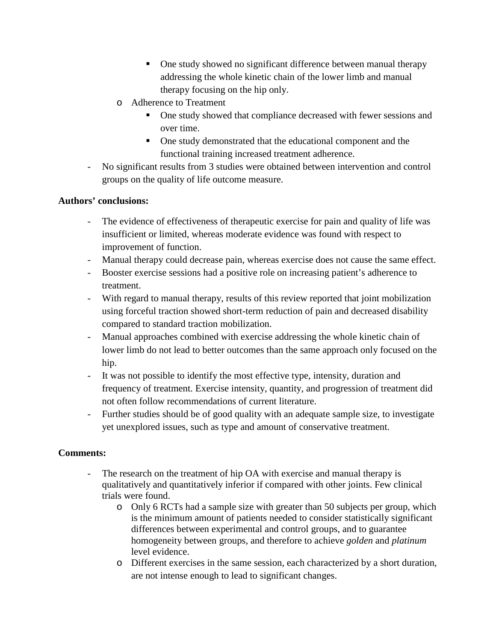- One study showed no significant difference between manual therapy addressing the whole kinetic chain of the lower limb and manual therapy focusing on the hip only.
- o Adherence to Treatment
	- One study showed that compliance decreased with fewer sessions and over time.
	- One study demonstrated that the educational component and the functional training increased treatment adherence.
- No significant results from 3 studies were obtained between intervention and control groups on the quality of life outcome measure.

## **Authors' conclusions:**

- The evidence of effectiveness of therapeutic exercise for pain and quality of life was insufficient or limited, whereas moderate evidence was found with respect to improvement of function.
- Manual therapy could decrease pain, whereas exercise does not cause the same effect.
- Booster exercise sessions had a positive role on increasing patient's adherence to treatment.
- With regard to manual therapy, results of this review reported that joint mobilization using forceful traction showed short-term reduction of pain and decreased disability compared to standard traction mobilization.
- Manual approaches combined with exercise addressing the whole kinetic chain of lower limb do not lead to better outcomes than the same approach only focused on the hip.
- It was not possible to identify the most effective type, intensity, duration and frequency of treatment. Exercise intensity, quantity, and progression of treatment did not often follow recommendations of current literature.
- Further studies should be of good quality with an adequate sample size, to investigate yet unexplored issues, such as type and amount of conservative treatment.

# **Comments:**

- The research on the treatment of hip OA with exercise and manual therapy is qualitatively and quantitatively inferior if compared with other joints. Few clinical trials were found.
	- o Only 6 RCTs had a sample size with greater than 50 subjects per group, which is the minimum amount of patients needed to consider statistically significant differences between experimental and control groups, and to guarantee homogeneity between groups, and therefore to achieve *golden* and *platinum*  level evidence.
	- o Different exercises in the same session, each characterized by a short duration, are not intense enough to lead to significant changes.